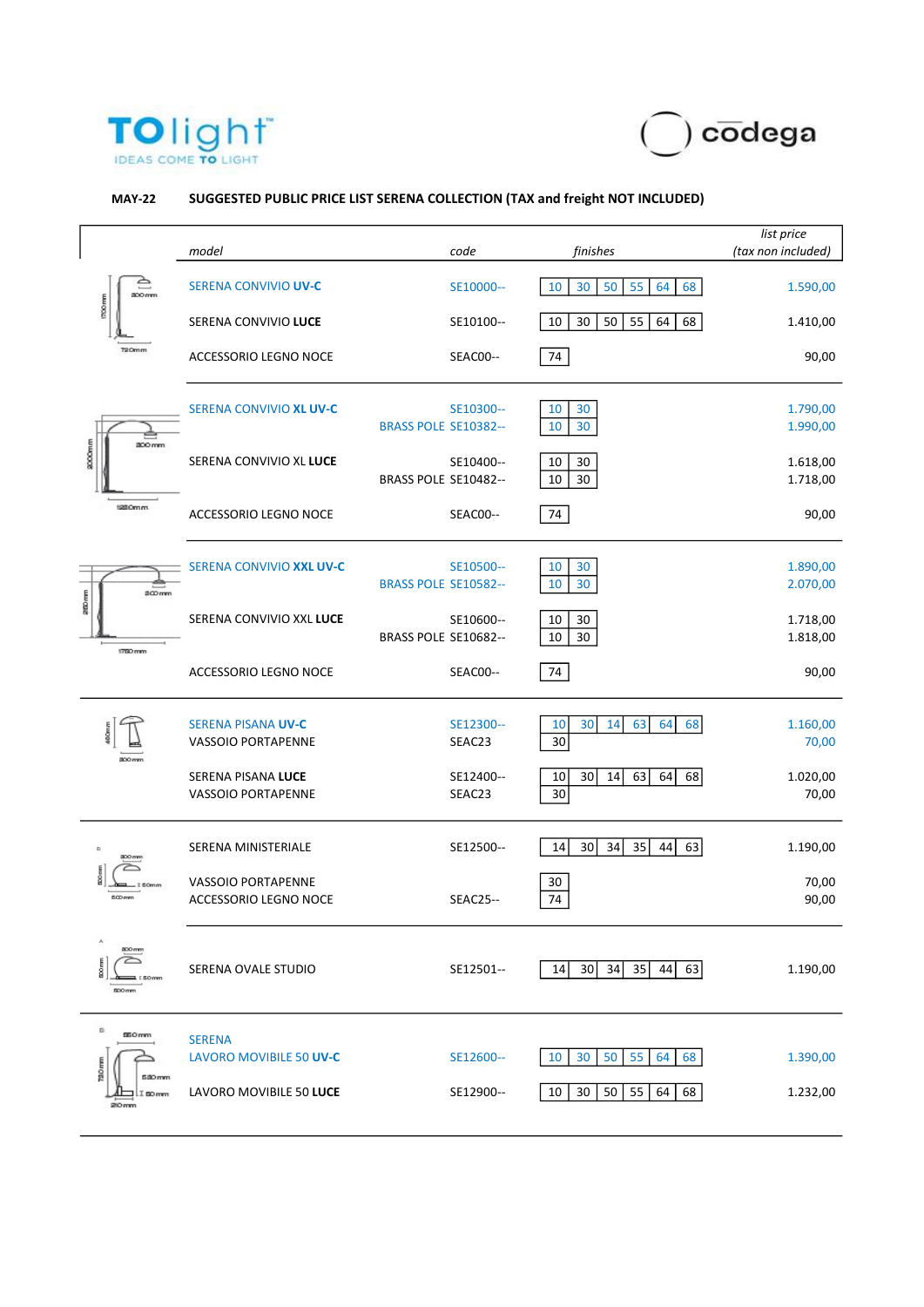



## MAY-22 SUGGESTED PUBLIC PRICE LIST SERENA COLLECTION (TAX and freight NOT INCLUDED)

|                                                                                                  | model                                              |                      | code                | finishes                               | list price<br>(tax non included) |
|--------------------------------------------------------------------------------------------------|----------------------------------------------------|----------------------|---------------------|----------------------------------------|----------------------------------|
| ≏<br>800mm<br>1700mm<br>720mm<br><b>2000mm</b><br>200 mm<br>120 Omm<br>300mm<br>200mm<br>1750 mm | <b>SERENA CONVIVIO UV-C</b>                        |                      | SE10000--           | 10<br>30<br>50<br>55<br>68<br>64       | 1.590,00                         |
|                                                                                                  | SERENA CONVIVIO LUCE                               |                      | SE10100--           | 55<br>10<br>30<br>50<br>64<br>68       | 1.410,00                         |
|                                                                                                  | ACCESSORIO LEGNO NOCE                              |                      | SEAC00--            | 74                                     | 90,00                            |
|                                                                                                  | SERENA CONVIVIO XL UV-C                            | BRASS POLE SE10382-- | SE10300--           | $10\,$<br>30<br>10<br>30               | 1.790,00<br>1.990,00             |
|                                                                                                  | SERENA CONVIVIO XL LUCE                            | BRASS POLE SE10482-- | SE10400--           | 10<br>30<br>10<br>30                   | 1.618,00<br>1.718,00             |
|                                                                                                  | ACCESSORIO LEGNO NOCE                              |                      | SEAC00--            | 74                                     | 90,00                            |
|                                                                                                  | SERENA CONVIVIO XXL UV-C                           | BRASS POLE SE10582-- | SE10500--           | 10<br>30<br>30<br>10                   | 1.890,00<br>2.070,00             |
|                                                                                                  | SERENA CONVIVIO XXL LUCE                           | BRASS POLE SE10682-- | SE10600--           | 10<br>30<br>10<br>30                   | 1.718,00<br>1.818,00             |
|                                                                                                  | <b>ACCESSORIO LEGNO NOCE</b>                       |                      | SEAC00--            | 74                                     | 90,00                            |
|                                                                                                  | <b>SERENA PISANA UV-C</b><br>VASSOIO PORTAPENNE    |                      | SE12300--<br>SEAC23 | 63<br>30<br>64<br>68<br>10<br>14<br>30 | 1.160,00<br>70,00                |
| 800 mm                                                                                           | SERENA PISANA LUCE<br>VASSOIO PORTAPENNE           |                      | SE12400--<br>SEAC23 | 63<br>30<br>14<br>64<br>68<br>10<br>30 | 1.020,00<br>70,00                |
| 300 mm<br>$500 \, nm$                                                                            | SERENA MINISTERIALE                                |                      | SE12500--           | 35<br>14<br>30<br>34<br>44<br>63       | 1.190,00                         |
|                                                                                                  | VASSOIO PORTAPENNE<br><b>ACCESSORIO LEGNO NOCE</b> |                      | <b>SEAC25--</b>     | $30\,$<br>74                           | 70,00<br>90,00                   |
| 300 mm<br>E<br><b>ESOmn</b><br>500 mm                                                            | SERENA OVALE STUDIO                                |                      | SE12501--           | 35<br>30<br>34<br>14<br>44<br>63       | 1.190,00                         |
| n<br>550 mm<br>700 mm<br>5.00 mm<br>I BD mm<br>210 mm                                            | <b>SERENA</b><br>LAVORO MOVIBILE 50 UV-C           |                      | SE12600--           | 30<br>50<br>55<br>64<br>68<br>10       | 1.390,00                         |
|                                                                                                  | LAVORO MOVIBILE 50 LUCE                            |                      | SE12900--           | 10<br>50<br>55<br>64<br>30<br>68       | 1.232,00                         |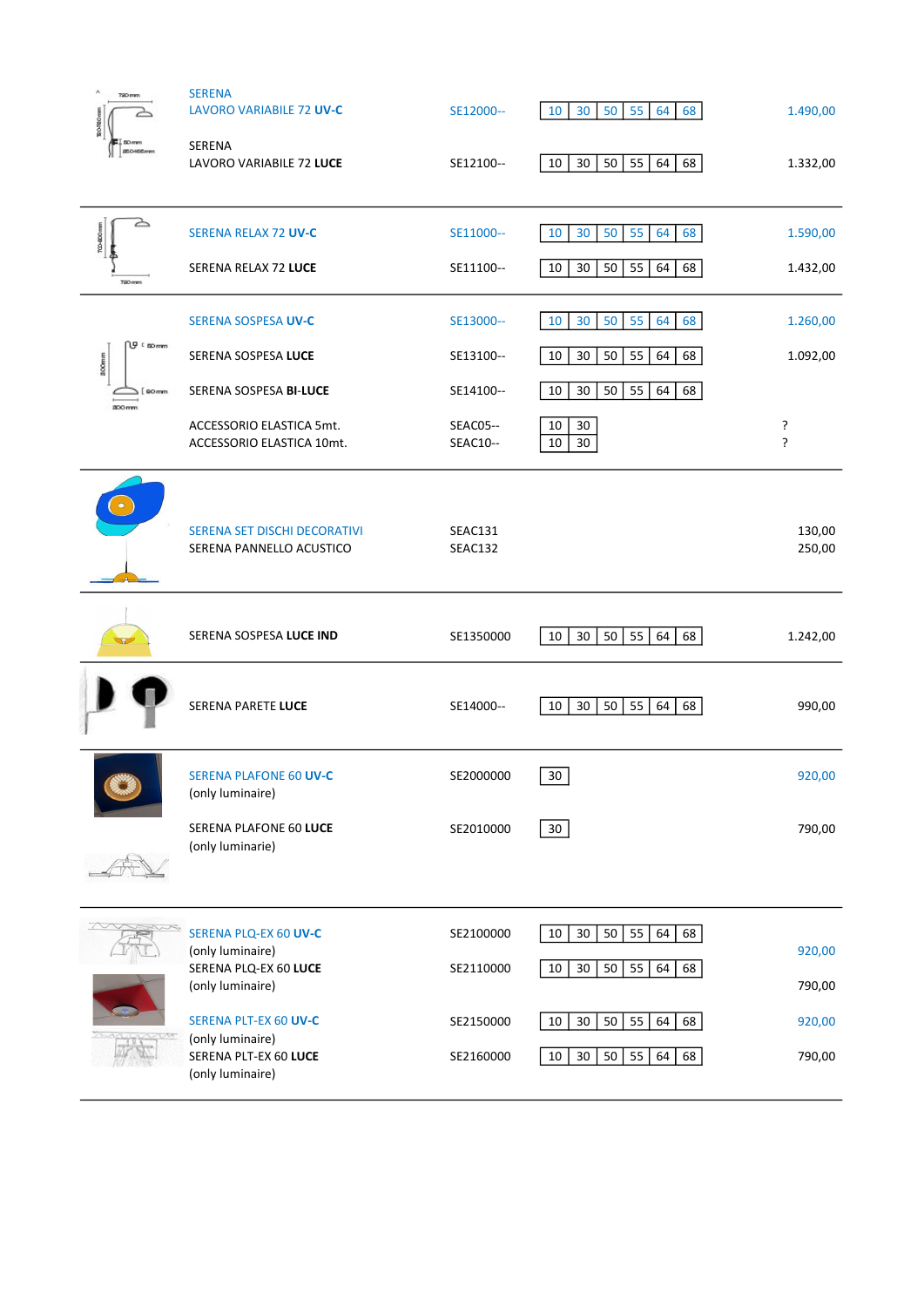| 720 mm<br>motions          | <b>SERENA</b><br>LAVORO VARIABILE 72 UV-C                     | SE12000--                   | 10<br>30<br>50<br>55<br>64<br>68     | 1.490,00         |
|----------------------------|---------------------------------------------------------------|-----------------------------|--------------------------------------|------------------|
| 50mm<br><b>SECHSEmm</b>    | <b>SERENA</b><br>LAVORO VARIABILE 72 LUCE                     | SE12100--                   | 10<br>30<br>50<br>55<br>64<br>68     | 1.332,00         |
| ک<br>700-000 mm            | SERENA RELAX 72 UV-C                                          | SE11000--                   | 10<br>30<br>50<br>55<br>64<br>68     | 1.590,00         |
| 720 mm                     | SERENA RELAX 72 LUCE                                          | SE11100--                   | 50<br>55<br>64<br>68<br>10<br>30     | 1.432,00         |
|                            | SERENA SOSPESA UV-C                                           | SE13000--                   | 55<br>10<br>30<br>50<br>64<br>68     | 1.260,00         |
| N⊎ ⊧aomm<br>100mm          | SERENA SOSPESA LUCE                                           | SE13100--                   | 55<br>10<br>30<br>50<br>64<br>68     | 1.092,00         |
| 90 <sub>mm</sub><br>800 mm | SERENA SOSPESA BI-LUCE                                        | SE14100--                   | 50<br>55<br>64<br>68<br>10<br>30     |                  |
|                            | ACCESSORIO ELASTICA 5mt.<br>ACCESSORIO ELASTICA 10mt.         | <b>SEAC05--</b><br>SEAC10-- | 30<br>10<br>10<br>30                 | ŗ<br>Ċ.          |
|                            | SERENA SET DISCHI DECORATIVI<br>SERENA PANNELLO ACUSTICO      | SEAC131<br>SEAC132          |                                      | 130,00<br>250,00 |
|                            | SERENA SOSPESA LUCE IND                                       | SE1350000                   | 30<br>50<br>55<br>64<br>68<br>10     | 1.242,00         |
|                            | SERENA PARETE LUCE                                            | SE14000--                   | 30<br>50<br>55<br>64<br>68<br>10     | 990,00           |
|                            | <b>SERENA PLAFONE 60 UV-C</b><br>(only luminaire)             | SE2000000                   | 30                                   | 920,00           |
|                            | <b>SERENA PLAFONE 60 LUCE</b><br>(only luminarie)             | SE2010000                   | 30                                   | 790,00           |
|                            |                                                               |                             |                                      |                  |
|                            | <b>SERENA PLQ-EX 60 UV-C</b>                                  | SE2100000                   | 55<br>10<br>30<br>50<br>64<br>68     | 920,00           |
|                            | (only luminaire)<br>SERENA PLQ-EX 60 LUCE<br>(only luminaire) | SE2110000                   | $10\,$<br>30<br>50<br>55<br>64<br>68 | 790,00           |
|                            | SERENA PLT-EX 60 UV-C                                         | SE2150000                   | 50<br>55<br>64<br>68<br>10<br>30     | 920,00           |
|                            | (only luminaire)<br>SERENA PLT-EX 60 LUCE                     | SE2160000                   | 30<br>50<br>55<br>64<br>10<br>68     | 790,00           |
|                            | (only luminaire)                                              |                             |                                      |                  |